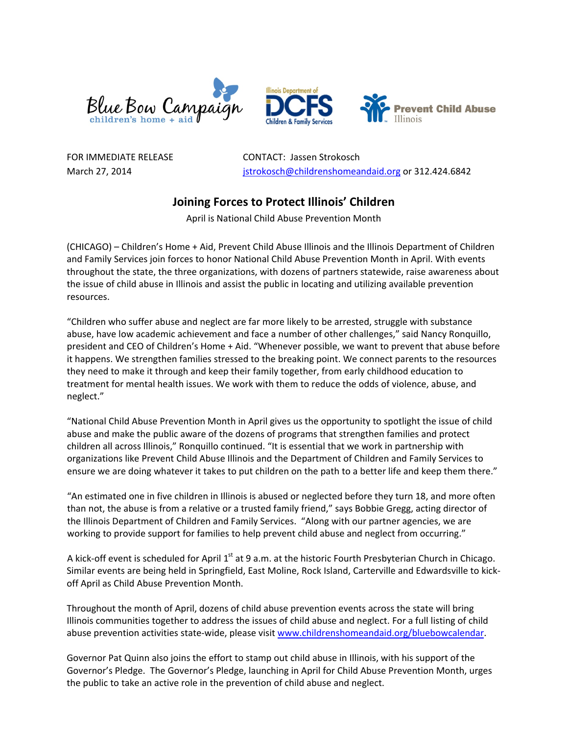



FOR IMMEDIATE RELEASE CONTACT: Jassen Strokosch March 27, 2014 [jstrokosch@childrenshomeandaid.org](mailto:jstrokosch@childrenshomeandaid.org) or 312.424.6842

## **Joining Forces to Protect Illinois' Children**

April is National Child Abuse Prevention Month

(CHICAGO) – Children's Home + Aid, Prevent Child Abuse Illinois and the Illinois Department of Children and Family Services join forces to honor National Child Abuse Prevention Month in April. With events throughout the state, the three organizations, with dozens of partners statewide, raise awareness about the issue of child abuse in Illinois and assist the public in locating and utilizing available prevention resources.

"Children who suffer abuse and neglect are far more likely to be arrested, struggle with substance abuse, have low academic achievement and face a number of other challenges," said Nancy Ronquillo, president and CEO of Children's Home + Aid. "Whenever possible, we want to prevent that abuse before it happens. We strengthen families stressed to the breaking point. We connect parents to the resources they need to make it through and keep their family together, from early childhood education to treatment for mental health issues. We work with them to reduce the odds of violence, abuse, and neglect."

"National Child Abuse Prevention Month in April gives us the opportunity to spotlight the issue of child abuse and make the public aware of the dozens of programs that strengthen families and protect children all across Illinois," Ronquillo continued. "It is essential that we work in partnership with organizations like Prevent Child Abuse Illinois and the Department of Children and Family Services to ensure we are doing whatever it takes to put children on the path to a better life and keep them there."

"An estimated one in five children in Illinois is abused or neglected before they turn 18, and more often than not, the abuse is from a relative or a trusted family friend," says Bobbie Gregg, acting director of the Illinois Department of Children and Family Services. "Along with our partner agencies, we are working to provide support for families to help prevent child abuse and neglect from occurring."

A kick-off event is scheduled for April 1<sup>st</sup> at 9 a.m. at the historic Fourth Presbyterian Church in Chicago. Similar events are being held in Springfield, East Moline, Rock Island, Carterville and Edwardsville to kick‐ off April as Child Abuse Prevention Month.

Throughout the month of April, dozens of child abuse prevention events across the state will bring Illinois communities together to address the issues of child abuse and neglect. For a full listing of child abuse prevention activities state-wide, please visit [www.childrenshomeandaid.org/bluebowcalendar.](http://www.childrenshomeandaid.org/bluebowcalendar)

Governor Pat Quinn also joins the effort to stamp out child abuse in Illinois, with his support of the Governor's Pledge. The Governor's Pledge, launching in April for Child Abuse Prevention Month, urges the public to take an active role in the prevention of child abuse and neglect.